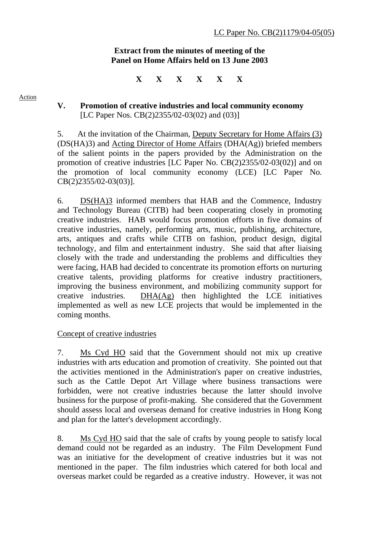## **Extract from the minutes of meeting of the Panel on Home Affairs held on 13 June 2003**

**X X X X X X** 

#### Action

# **V. Promotion of creative industries and local community economy**  [LC Paper Nos. CB(2)2355/02-03(02) and (03)]

5. At the invitation of the Chairman, Deputy Secretary for Home Affairs (3) (DS(HA)3) and Acting Director of Home Affairs (DHA(Ag)) briefed members of the salient points in the papers provided by the Administration on the promotion of creative industries [LC Paper No. CB(2)2355/02-03(02)] and on the promotion of local community economy (LCE) [LC Paper No. CB(2)2355/02-03(03)].

6. DS(HA)3 informed members that HAB and the Commence, Industry and Technology Bureau (CITB) had been cooperating closely in promoting creative industries. HAB would focus promotion efforts in five domains of creative industries, namely, performing arts, music, publishing, architecture, arts, antiques and crafts while CITB on fashion, product design, digital technology, and film and entertainment industry. She said that after liaising closely with the trade and understanding the problems and difficulties they were facing, HAB had decided to concentrate its promotion efforts on nurturing creative talents, providing platforms for creative industry practitioners, improving the business environment, and mobilizing community support for creative industries. DHA(Ag) then highlighted the LCE initiatives implemented as well as new LCE projects that would be implemented in the coming months.

# Concept of creative industries

7. Ms Cyd HO said that the Government should not mix up creative industries with arts education and promotion of creativity. She pointed out that the activities mentioned in the Administration's paper on creative industries, such as the Cattle Depot Art Village where business transactions were forbidden, were not creative industries because the latter should involve business for the purpose of profit-making. She considered that the Government should assess local and overseas demand for creative industries in Hong Kong and plan for the latter's development accordingly.

8. Ms Cyd HO said that the sale of crafts by young people to satisfy local demand could not be regarded as an industry. The Film Development Fund was an initiative for the development of creative industries but it was not mentioned in the paper. The film industries which catered for both local and overseas market could be regarded as a creative industry. However, it was not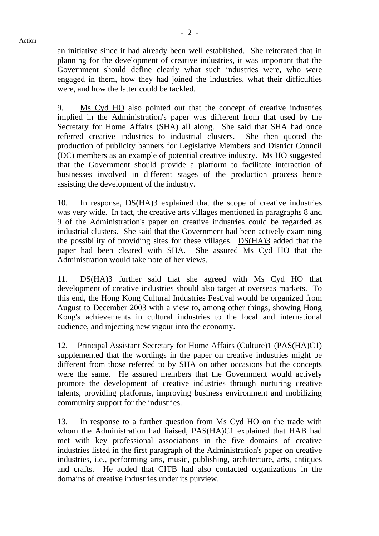an initiative since it had already been well established. She reiterated that in planning for the development of creative industries, it was important that the Government should define clearly what such industries were, who were engaged in them, how they had joined the industries, what their difficulties were, and how the latter could be tackled.

9. Ms Cyd HO also pointed out that the concept of creative industries implied in the Administration's paper was different from that used by the Secretary for Home Affairs (SHA) all along. She said that SHA had once referred creative industries to industrial clusters. She then quoted the production of publicity banners for Legislative Members and District Council (DC) members as an example of potential creative industry. Ms HO suggested that the Government should provide a platform to facilitate interaction of businesses involved in different stages of the production process hence assisting the development of the industry.

10. In response, DS(HA)3 explained that the scope of creative industries was very wide. In fact, the creative arts villages mentioned in paragraphs 8 and 9 of the Administration's paper on creative industries could be regarded as industrial clusters. She said that the Government had been actively examining the possibility of providing sites for these villages. DS(HA)3 added that the paper had been cleared with SHA. She assured Ms Cyd HO that the Administration would take note of her views.

11. DS(HA)3 further said that she agreed with Ms Cyd HO that development of creative industries should also target at overseas markets. To this end, the Hong Kong Cultural Industries Festival would be organized from August to December 2003 with a view to, among other things, showing Hong Kong's achievements in cultural industries to the local and international audience, and injecting new vigour into the economy.

12. Principal Assistant Secretary for Home Affairs (Culture)1 (PAS(HA)C1) supplemented that the wordings in the paper on creative industries might be different from those referred to by SHA on other occasions but the concepts were the same. He assured members that the Government would actively promote the development of creative industries through nurturing creative talents, providing platforms, improving business environment and mobilizing community support for the industries.

13. In response to a further question from Ms Cyd HO on the trade with whom the Administration had liaised, PAS(HA)C1 explained that HAB had met with key professional associations in the five domains of creative industries listed in the first paragraph of the Administration's paper on creative industries, i.e., performing arts, music, publishing, architecture, arts, antiques and crafts. He added that CITB had also contacted organizations in the domains of creative industries under its purview.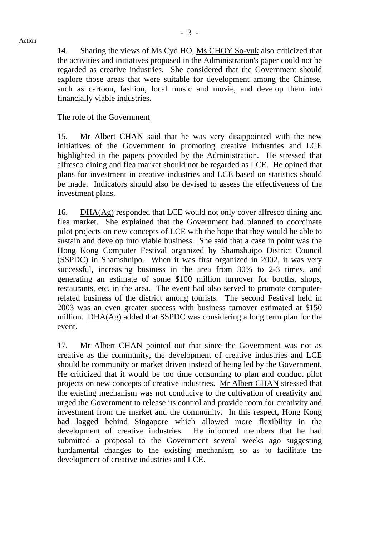Action

14. Sharing the views of Ms Cyd HO, Ms CHOY So-yuk also criticized that the activities and initiatives proposed in the Administration's paper could not be regarded as creative industries. She considered that the Government should explore those areas that were suitable for development among the Chinese, such as cartoon, fashion, local music and movie, and develop them into financially viable industries.

## The role of the Government

15. Mr Albert CHAN said that he was very disappointed with the new initiatives of the Government in promoting creative industries and LCE highlighted in the papers provided by the Administration. He stressed that alfresco dining and flea market should not be regarded as LCE. He opined that plans for investment in creative industries and LCE based on statistics should be made. Indicators should also be devised to assess the effectiveness of the investment plans.

16. DHA(Ag) responded that LCE would not only cover alfresco dining and flea market. She explained that the Government had planned to coordinate pilot projects on new concepts of LCE with the hope that they would be able to sustain and develop into viable business. She said that a case in point was the Hong Kong Computer Festival organized by Shamshuipo District Council (SSPDC) in Shamshuipo. When it was first organized in 2002, it was very successful, increasing business in the area from 30% to 2-3 times, and generating an estimate of some \$100 million turnover for booths, shops, restaurants, etc. in the area. The event had also served to promote computerrelated business of the district among tourists. The second Festival held in 2003 was an even greater success with business turnover estimated at \$150 million. DHA(Ag) added that SSPDC was considering a long term plan for the event.

17. Mr Albert CHAN pointed out that since the Government was not as creative as the community, the development of creative industries and LCE should be community or market driven instead of being led by the Government. He criticized that it would be too time consuming to plan and conduct pilot projects on new concepts of creative industries. Mr Albert CHAN stressed that the existing mechanism was not conducive to the cultivation of creativity and urged the Government to release its control and provide room for creativity and investment from the market and the community. In this respect, Hong Kong had lagged behind Singapore which allowed more flexibility in the development of creative industries. He informed members that he had submitted a proposal to the Government several weeks ago suggesting fundamental changes to the existing mechanism so as to facilitate the development of creative industries and LCE.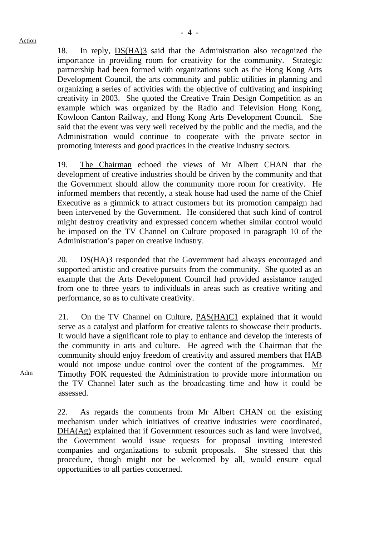18. In reply, DS(HA)3 said that the Administration also recognized the importance in providing room for creativity for the community. Strategic partnership had been formed with organizations such as the Hong Kong Arts Development Council, the arts community and public utilities in planning and organizing a series of activities with the objective of cultivating and inspiring creativity in 2003. She quoted the Creative Train Design Competition as an example which was organized by the Radio and Television Hong Kong, Kowloon Canton Railway, and Hong Kong Arts Development Council. She said that the event was very well received by the public and the media, and the Administration would continue to cooperate with the private sector in promoting interests and good practices in the creative industry sectors.

19. The Chairman echoed the views of Mr Albert CHAN that the development of creative industries should be driven by the community and that the Government should allow the community more room for creativity. He informed members that recently, a steak house had used the name of the Chief Executive as a gimmick to attract customers but its promotion campaign had been intervened by the Government. He considered that such kind of control might destroy creativity and expressed concern whether similar control would be imposed on the TV Channel on Culture proposed in paragraph 10 of the Administration's paper on creative industry.

20. DS(HA)3 responded that the Government had always encouraged and supported artistic and creative pursuits from the community. She quoted as an example that the Arts Development Council had provided assistance ranged from one to three years to individuals in areas such as creative writing and performance, so as to cultivate creativity.

21. On the TV Channel on Culture, PAS(HA)C1 explained that it would serve as a catalyst and platform for creative talents to showcase their products. It would have a significant role to play to enhance and develop the interests of the community in arts and culture. He agreed with the Chairman that the community should enjoy freedom of creativity and assured members that HAB would not impose undue control over the content of the programmes. Mr Timothy FOK requested the Administration to provide more information on the TV Channel later such as the broadcasting time and how it could be assessed.

22. As regards the comments from Mr Albert CHAN on the existing mechanism under which initiatives of creative industries were coordinated, DHA(Ag) explained that if Government resources such as land were involved, the Government would issue requests for proposal inviting interested companies and organizations to submit proposals. She stressed that this procedure, though might not be welcomed by all, would ensure equal opportunities to all parties concerned.

Adm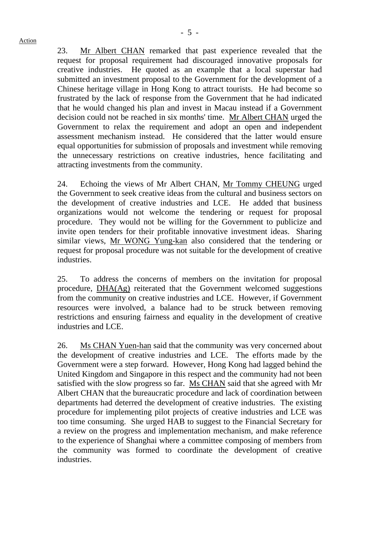23. Mr Albert CHAN remarked that past experience revealed that the request for proposal requirement had discouraged innovative proposals for creative industries. He quoted as an example that a local superstar had submitted an investment proposal to the Government for the development of a Chinese heritage village in Hong Kong to attract tourists. He had become so frustrated by the lack of response from the Government that he had indicated that he would changed his plan and invest in Macau instead if a Government decision could not be reached in six months' time. Mr Albert CHAN urged the Government to relax the requirement and adopt an open and independent assessment mechanism instead. He considered that the latter would ensure equal opportunities for submission of proposals and investment while removing the unnecessary restrictions on creative industries, hence facilitating and attracting investments from the community.

24. Echoing the views of Mr Albert CHAN, Mr Tommy CHEUNG urged the Government to seek creative ideas from the cultural and business sectors on the development of creative industries and LCE. He added that business organizations would not welcome the tendering or request for proposal procedure. They would not be willing for the Government to publicize and invite open tenders for their profitable innovative investment ideas. Sharing similar views, Mr WONG Yung-kan also considered that the tendering or request for proposal procedure was not suitable for the development of creative industries.

25. To address the concerns of members on the invitation for proposal procedure, DHA(Ag) reiterated that the Government welcomed suggestions from the community on creative industries and LCE. However, if Government resources were involved, a balance had to be struck between removing restrictions and ensuring fairness and equality in the development of creative industries and LCE.

26. Ms CHAN Yuen-han said that the community was very concerned about the development of creative industries and LCE. The efforts made by the Government were a step forward. However, Hong Kong had lagged behind the United Kingdom and Singapore in this respect and the community had not been satisfied with the slow progress so far. Ms CHAN said that she agreed with Mr Albert CHAN that the bureaucratic procedure and lack of coordination between departments had deterred the development of creative industries. The existing procedure for implementing pilot projects of creative industries and LCE was too time consuming. She urged HAB to suggest to the Financial Secretary for a review on the progress and implementation mechanism, and make reference to the experience of Shanghai where a committee composing of members from the community was formed to coordinate the development of creative industries.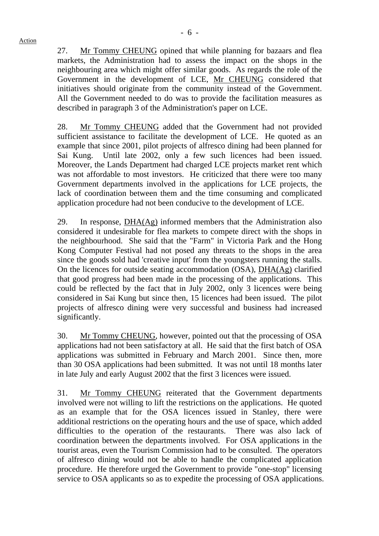27. Mr Tommy CHEUNG opined that while planning for bazaars and flea markets, the Administration had to assess the impact on the shops in the neighbouring area which might offer similar goods. As regards the role of the Government in the development of LCE, Mr CHEUNG considered that initiatives should originate from the community instead of the Government. All the Government needed to do was to provide the facilitation measures as described in paragraph 3 of the Administration's paper on LCE.

28. Mr Tommy CHEUNG added that the Government had not provided sufficient assistance to facilitate the development of LCE. He quoted as an example that since 2001, pilot projects of alfresco dining had been planned for Sai Kung. Until late 2002, only a few such licences had been issued. Moreover, the Lands Department had charged LCE projects market rent which was not affordable to most investors. He criticized that there were too many Government departments involved in the applications for LCE projects, the lack of coordination between them and the time consuming and complicated application procedure had not been conducive to the development of LCE.

29. In response, DHA(Ag) informed members that the Administration also considered it undesirable for flea markets to compete direct with the shops in the neighbourhood. She said that the "Farm" in Victoria Park and the Hong Kong Computer Festival had not posed any threats to the shops in the area since the goods sold had 'creative input' from the youngsters running the stalls. On the licences for outside seating accommodation (OSA), DHA(Ag) clarified that good progress had been made in the processing of the applications. This could be reflected by the fact that in July 2002, only 3 licences were being considered in Sai Kung but since then, 15 licences had been issued. The pilot projects of alfresco dining were very successful and business had increased significantly.

30. Mr Tommy CHEUNG, however, pointed out that the processing of OSA applications had not been satisfactory at all. He said that the first batch of OSA applications was submitted in February and March 2001. Since then, more than 30 OSA applications had been submitted. It was not until 18 months later in late July and early August 2002 that the first 3 licences were issued.

31. Mr Tommy CHEUNG reiterated that the Government departments involved were not willing to lift the restrictions on the applications. He quoted as an example that for the OSA licences issued in Stanley, there were additional restrictions on the operating hours and the use of space, which added difficulties to the operation of the restaurants. There was also lack of coordination between the departments involved. For OSA applications in the tourist areas, even the Tourism Commission had to be consulted. The operators of alfresco dining would not be able to handle the complicated application procedure. He therefore urged the Government to provide "one-stop" licensing service to OSA applicants so as to expedite the processing of OSA applications.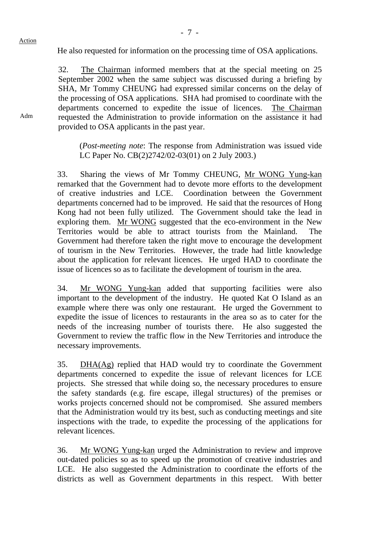Adm

He also requested for information on the processing time of OSA applications.

32. The Chairman informed members that at the special meeting on 25 September 2002 when the same subject was discussed during a briefing by SHA, Mr Tommy CHEUNG had expressed similar concerns on the delay of the processing of OSA applications. SHA had promised to coordinate with the departments concerned to expedite the issue of licences. The Chairman requested the Administration to provide information on the assistance it had provided to OSA applicants in the past year.

(*Post-meeting note*: The response from Administration was issued vide LC Paper No. CB(2)2742/02-03(01) on 2 July 2003.)

33. Sharing the views of Mr Tommy CHEUNG, Mr WONG Yung-kan remarked that the Government had to devote more efforts to the development of creative industries and LCE. Coordination between the Government departments concerned had to be improved. He said that the resources of Hong Kong had not been fully utilized. The Government should take the lead in exploring them. Mr WONG suggested that the eco-environment in the New Territories would be able to attract tourists from the Mainland. The Government had therefore taken the right move to encourage the development of tourism in the New Territories. However, the trade had little knowledge about the application for relevant licences. He urged HAD to coordinate the issue of licences so as to facilitate the development of tourism in the area.

34. Mr WONG Yung-kan added that supporting facilities were also important to the development of the industry. He quoted Kat O Island as an example where there was only one restaurant. He urged the Government to expedite the issue of licences to restaurants in the area so as to cater for the needs of the increasing number of tourists there. He also suggested the Government to review the traffic flow in the New Territories and introduce the necessary improvements.

35. DHA(Ag) replied that HAD would try to coordinate the Government departments concerned to expedite the issue of relevant licences for LCE projects. She stressed that while doing so, the necessary procedures to ensure the safety standards (e.g. fire escape, illegal structures) of the premises or works projects concerned should not be compromised. She assured members that the Administration would try its best, such as conducting meetings and site inspections with the trade, to expedite the processing of the applications for relevant licences.

36. Mr WONG Yung-kan urged the Administration to review and improve out-dated policies so as to speed up the promotion of creative industries and LCE. He also suggested the Administration to coordinate the efforts of the districts as well as Government departments in this respect. With better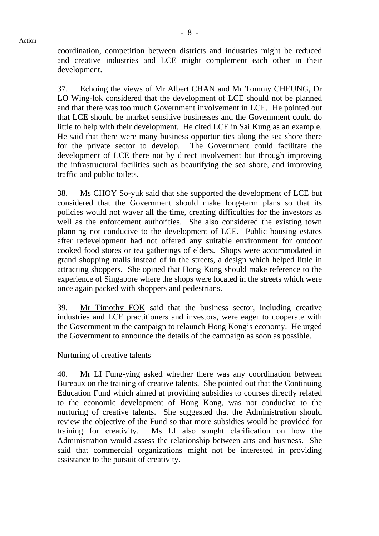coordination, competition between districts and industries might be reduced and creative industries and LCE might complement each other in their development.

37. Echoing the views of Mr Albert CHAN and Mr Tommy CHEUNG, Dr LO Wing-lok considered that the development of LCE should not be planned and that there was too much Government involvement in LCE. He pointed out that LCE should be market sensitive businesses and the Government could do little to help with their development. He cited LCE in Sai Kung as an example. He said that there were many business opportunities along the sea shore there for the private sector to develop. The Government could facilitate the development of LCE there not by direct involvement but through improving the infrastructural facilities such as beautifying the sea shore, and improving traffic and public toilets.

38. Ms CHOY So-yuk said that she supported the development of LCE but considered that the Government should make long-term plans so that its policies would not waver all the time, creating difficulties for the investors as well as the enforcement authorities. She also considered the existing town planning not conducive to the development of LCE. Public housing estates after redevelopment had not offered any suitable environment for outdoor cooked food stores or tea gatherings of elders. Shops were accommodated in grand shopping malls instead of in the streets, a design which helped little in attracting shoppers. She opined that Hong Kong should make reference to the experience of Singapore where the shops were located in the streets which were once again packed with shoppers and pedestrians.

39. Mr Timothy FOK said that the business sector, including creative industries and LCE practitioners and investors, were eager to cooperate with the Government in the campaign to relaunch Hong Kong's economy. He urged the Government to announce the details of the campaign as soon as possible.

### Nurturing of creative talents

40. Mr LI Fung-ying asked whether there was any coordination between Bureaux on the training of creative talents. She pointed out that the Continuing Education Fund which aimed at providing subsidies to courses directly related to the economic development of Hong Kong, was not conducive to the nurturing of creative talents. She suggested that the Administration should review the objective of the Fund so that more subsidies would be provided for training for creativity. Ms LI also sought clarification on how the Administration would assess the relationship between arts and business. She said that commercial organizations might not be interested in providing assistance to the pursuit of creativity.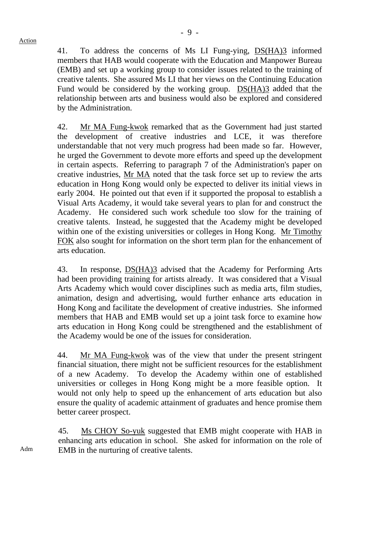41. To address the concerns of Ms LI Fung-ying, DS(HA)3 informed members that HAB would cooperate with the Education and Manpower Bureau (EMB) and set up a working group to consider issues related to the training of creative talents. She assured Ms LI that her views on the Continuing Education Fund would be considered by the working group. DS(HA)3 added that the relationship between arts and business would also be explored and considered by the Administration.

42. Mr MA Fung-kwok remarked that as the Government had just started the development of creative industries and LCE, it was therefore understandable that not very much progress had been made so far. However, he urged the Government to devote more efforts and speed up the development in certain aspects. Referring to paragraph 7 of the Administration's paper on creative industries, Mr MA noted that the task force set up to review the arts education in Hong Kong would only be expected to deliver its initial views in early 2004. He pointed out that even if it supported the proposal to establish a Visual Arts Academy, it would take several years to plan for and construct the Academy. He considered such work schedule too slow for the training of creative talents. Instead, he suggested that the Academy might be developed within one of the existing universities or colleges in Hong Kong. Mr Timothy FOK also sought for information on the short term plan for the enhancement of arts education.

43. In response, DS(HA)3 advised that the Academy for Performing Arts had been providing training for artists already. It was considered that a Visual Arts Academy which would cover disciplines such as media arts, film studies, animation, design and advertising, would further enhance arts education in Hong Kong and facilitate the development of creative industries. She informed members that HAB and EMB would set up a joint task force to examine how arts education in Hong Kong could be strengthened and the establishment of the Academy would be one of the issues for consideration.

44. Mr MA Fung-kwok was of the view that under the present stringent financial situation, there might not be sufficient resources for the establishment of a new Academy. To develop the Academy within one of established universities or colleges in Hong Kong might be a more feasible option. It would not only help to speed up the enhancement of arts education but also ensure the quality of academic attainment of graduates and hence promise them better career prospect.

45. Ms CHOY So-yuk suggested that EMB might cooperate with HAB in enhancing arts education in school. She asked for information on the role of EMB in the nurturing of creative talents.

Adm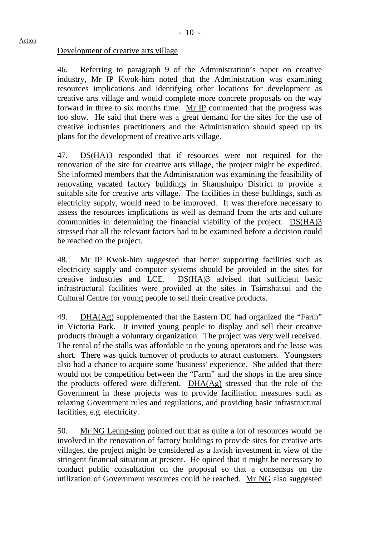#### Action

### Development of creative arts village

46. Referring to paragraph 9 of the Administration's paper on creative industry, Mr IP Kwok-him noted that the Administration was examining resources implications and identifying other locations for development as creative arts village and would complete more concrete proposals on the way forward in three to six months time. Mr IP commented that the progress was too slow. He said that there was a great demand for the sites for the use of creative industries practitioners and the Administration should speed up its plans for the development of creative arts village.

47. DS(HA)3 responded that if resources were not required for the renovation of the site for creative arts village, the project might be expedited. She informed members that the Administration was examining the feasibility of renovating vacated factory buildings in Shamshuipo District to provide a suitable site for creative arts village. The facilities in these buildings, such as electricity supply, would need to be improved. It was therefore necessary to assess the resources implications as well as demand from the arts and culture communities in determining the financial viability of the project. DS(HA)3 stressed that all the relevant factors had to be examined before a decision could be reached on the project.

48. Mr IP Kwok-him suggested that better supporting facilities such as electricity supply and computer systems should be provided in the sites for creative industries and LCE. DS(HA)3 advised that sufficient basic infrastructural facilities were provided at the sites in Tsimshatsui and the Cultural Centre for young people to sell their creative products.

49. DHA(Ag) supplemented that the Eastern DC had organized the "Farm" in Victoria Park. It invited young people to display and sell their creative products through a voluntary organization. The project was very well received. The rental of the stalls was affordable to the young operators and the lease was short. There was quick turnover of products to attract customers. Youngsters also had a chance to acquire some 'business' experience. She added that there would not be competition between the "Farm" and the shops in the area since the products offered were different. DHA(Ag) stressed that the role of the Government in these projects was to provide facilitation measures such as relaxing Government rules and regulations, and providing basic infrastructural facilities, e.g. electricity.

50. Mr NG Leung-sing pointed out that as quite a lot of resources would be involved in the renovation of factory buildings to provide sites for creative arts villages, the project might be considered as a lavish investment in view of the stringent financial situation at present. He opined that it might be necessary to conduct public consultation on the proposal so that a consensus on the utilization of Government resources could be reached. Mr NG also suggested